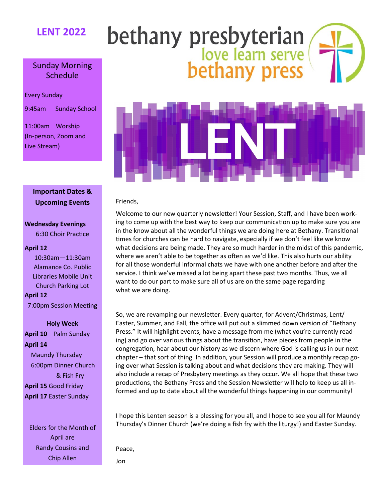### **LENT 2022**

# bethany presbyterian<br>love learn serve<br>bethany press

#### Sunday Morning Schedule

Every Sunday

9:45am Sunday School

11:00am Worship (In-person, Zoom and Live Stream)



#### **Important Dates & Upcoming Events**

#### **Wednesday Evenings**

6:30 Choir Practice

#### **April 12**

10:30am—11:30am Alamance Co. Public Libraries Mobile Unit Church Parking Lot **April 12**

7:00pm Session Meeting

#### **Holy Week**

**April 10** Palm Sunday **April 14**  Maundy Thursday 6:00pm Dinner Church & Fish Fry **April 15** Good Friday

**April 17** Easter Sunday

Elders for the Month of April are Randy Cousins and Chip Allen

#### Friends,

Welcome to our new quarterly newsletter! Your Session, Staff, and I have been working to come up with the best way to keep our communication up to make sure you are in the know about all the wonderful things we are doing here at Bethany. Transitional times for churches can be hard to navigate, especially if we don't feel like we know what decisions are being made. They are so much harder in the midst of this pandemic, where we aren't able to be together as often as we'd like. This also hurts our ability for all those wonderful informal chats we have with one another before and after the service. I think we've missed a lot being apart these past two months. Thus, we all want to do our part to make sure all of us are on the same page regarding what we are doing.

So, we are revamping our newsletter. Every quarter, for Advent/Christmas, Lent/ Easter, Summer, and Fall, the office will put out a slimmed down version of "Bethany Press." It will highlight events, have a message from me (what you're currently reading) and go over various things about the transition, have pieces from people in the congregation, hear about our history as we discern where God is calling us in our next chapter – that sort of thing. In addition, your Session will produce a monthly recap going over what Session is talking about and what decisions they are making. They will also include a recap of Presbytery meetings as they occur. We all hope that these two productions, the Bethany Press and the Session Newsletter will help to keep us all informed and up to date about all the wonderful things happening in our community!

I hope this Lenten season is a blessing for you all, and I hope to see you all for Maundy Thursday's Dinner Church (we're doing a fish fry with the liturgy!) and Easter Sunday.

Peace,

Jon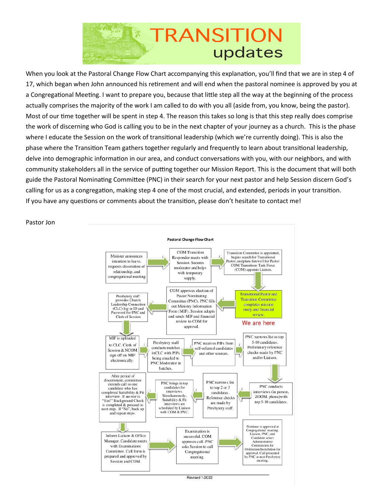

When you look at the Pastoral Change Flow Chart accompanying this explanation, you'll find that we are in step 4 of 17, which began when John announced his retirement and will end when the pastoral nominee is approved by you at a Congregational Meeting. I want to prepare you, because that little step all the way at the beginning of the process actually comprises the majority of the work I am called to do with you all (aside from, you know, being the pastor). Most of our time together will be spent in step 4. The reason this takes so long is that this step really does comprise the work of discerning who God is calling you to be in the next chapter of your journey as a church. This is the phase where I educate the Session on the work of transitional leadership (which we're currently doing). This is also the phase where the Transition Team gathers together regularly and frequently to learn about transitional leadership, delve into demographic information in our area, and conduct conversations with you, with our neighbors, and with community stakeholders all in the service of putting together our Mission Report. This is the document that will both guide the Pastoral Nominating Committee (PNC) in their search for your next pastor and help Session discern God's calling for us as a congregation, making step 4 one of the most crucial, and extended, periods in your transition. If you have any questions or comments about the transition, please don't hesitate to contact me!



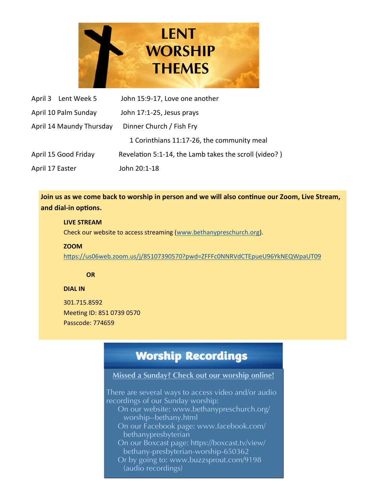

| April 3 Lent Week 5      | John 15:9-17, Love one another                        |
|--------------------------|-------------------------------------------------------|
| April 10 Palm Sunday     | John 17:1-25, Jesus prays                             |
| April 14 Maundy Thursday | Dinner Church / Fish Fry                              |
|                          | 1 Corinthians 11:17-26, the community meal            |
| April 15 Good Friday     | Revelation 5:1-14, the Lamb takes the scroll (video?) |
| April 17 Easter          | John 20:1-18                                          |

**Join us as we come back to worship in person and we will also continue our Zoom, Live Stream, and dial-in options.** 

#### **LIVE STREAM**

Check our website to access streaming ([www.bethanypreschurch.org\).](http://www.bethanypreschurch.org)

#### **ZOOM**

<https://us06web.zoom.us/j/85107390570?pwd=ZFFFc0NNRVdCTEpueU96YkNEQWpaUT09>

#### **OR**

#### **DIAL IN**

301.715.8592 Meeting ID: 851 0739 0570 Passcode: 774659

## Worship Recordings

#### Missed a Sunday? Check out our worship online!

There are several ways to access video and/or audio recordings of our Sunday worship: On our website: www.bethanypreschurch.org/ worship--bethany.html On our Facebook page: www.facebook.com/ bethanypresbyterian On our Boxcast page: https://boxcast.tv/view/ bethany-presbyterian-worship-650362 Or by going to: www.buzzsprout.com/9198 (audio recordings)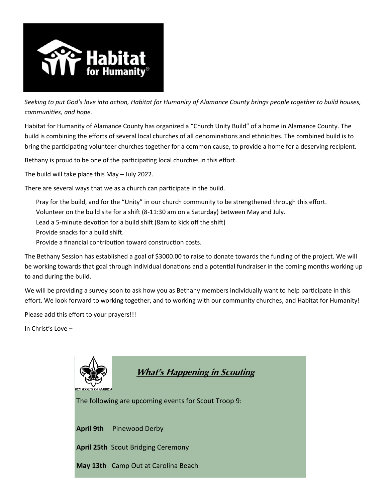

*Seeking to put God's love into action, Habitat for Humanity of Alamance County brings people together to build houses, communities, and hope.*

Habitat for Humanity of Alamance County has organized a "Church Unity Build" of a home in Alamance County. The build is combining the efforts of several local churches of all denominations and ethnicities. The combined build is to bring the participating volunteer churches together for a common cause, to provide a home for a deserving recipient.

Bethany is proud to be one of the participating local churches in this effort.

The build will take place this May – July 2022.

There are several ways that we as a church can participate in the build.

Pray for the build, and for the "Unity" in our church community to be strengthened through this effort.

Volunteer on the build site for a shift (8-11:30 am on a Saturday) between May and July.

Lead a 5-minute devotion for a build shift (8am to kick off the shift)

Provide snacks for a build shift.

Provide a financial contribution toward construction costs.

The Bethany Session has established a goal of \$3000.00 to raise to donate towards the funding of the project. We will be working towards that goal through individual donations and a potential fundraiser in the coming months working up to and during the build.

We will be providing a survey soon to ask how you as Bethany members individually want to help participate in this effort. We look forward to working together, and to working with our community churches, and Habitat for Humanity!

Please add this effort to your prayers!!!

In Christ's Love –

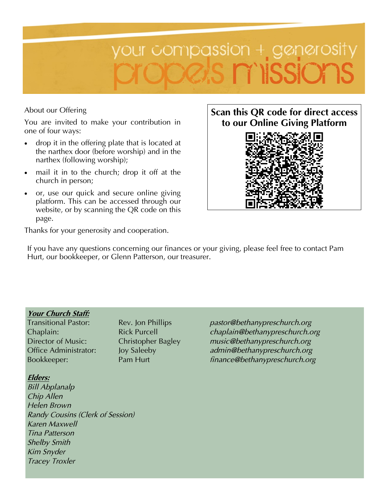

#### About our Offering

You are invited to make your contribution in one of four ways:

- drop it in the offering plate that is located at the narthex door (before worship) and in the narthex (following worship);
- mail it in to the church; drop it off at the church in person;
- or, use our quick and secure online giving platform. This can be accessed through our website, or by scanning the QR code on this page.



Thanks for your generosity and cooperation.

If you have any questions concerning our finances or your giving, please feel free to contact Pam Hurt, our bookkeeper, or Glenn Patterson, our treasurer.

#### Your Church Staff:

#### Elders:

*Bill Abplanalp Chip Allen Helen Brown Randy Cousins (Clerk of Session) Karen Maxwell Tina Patterson Shelby Smith Kim Snyder Tracey Troxler*

Transitional Pastor: Rev. Jon Phillips *pastor@bethanypreschurch.org* Chaplain: Rick Purcell *chaplain@bethanypreschurch.org* Director of Music: Christopher Bagley *music@bethanypreschurch.org* Office Administrator: Joy Saleeby *admin@bethanypreschurch.org* Bookkeeper: Pam Hurt *finance@bethanypreschurch.org*